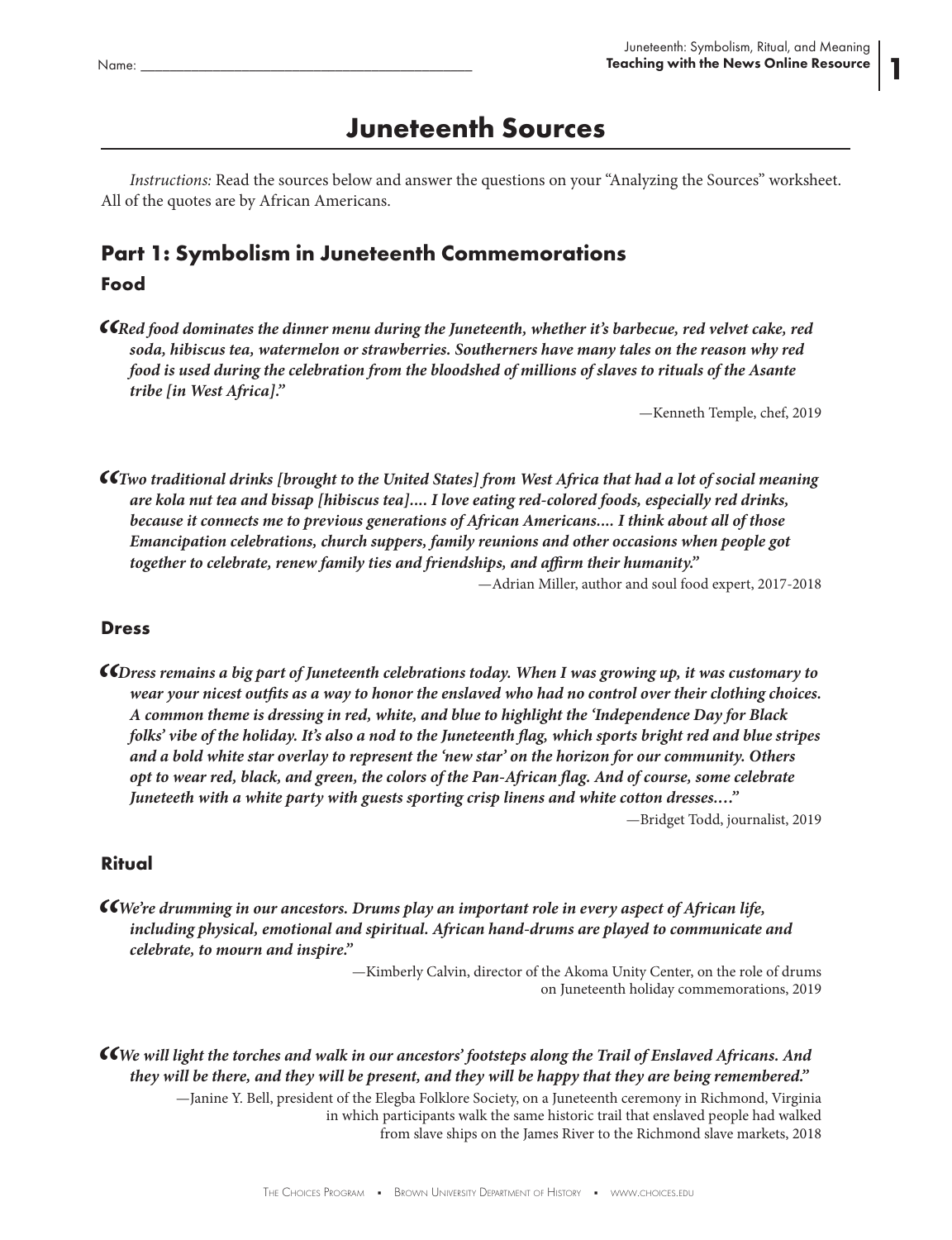1

# **Juneteenth Sources**

*Instructions:* Read the sources below and answer the questions on your "Analyzing the Sources" worksheet. All of the quotes are by African Americans.

### **Part 1: Symbolism in Juneteenth Commemorations Food**

*"Red food dominates the dinner menu during the Juneteenth, whether it's barbecue, red velvet cake, red soda, hibiscus tea, watermelon or strawberries. Southerners have many tales on the reason why red food is used during the celebration from the bloodshed of millions of slaves to rituals of the Asante tribe [in West Africa]."*

—Kenneth Temple, chef, 2019

*"Two traditional drinks [brought to the United States] from West Africa that had a lot of social meaning are kola nut tea and bissap [hibiscus tea].... I love eating red-colored foods, especially red drinks, because it connects me to previous generations of African Americans.... I think about all of those Emancipation celebrations, church suppers, family reunions and other occasions when people got together to celebrate, renew family ties and friendships, and affirm their humanity."* —Adrian Miller, author and soul food expert, 2017-2018

#### **Dress**

*"Dress remains a big part of Juneteenth celebrations today. When I was growing up, it was customary to wear your nicest outfits as a way to honor the enslaved who had no control over their clothing choices. A common theme is dressing in red, white, and blue to highlight the 'Independence Day for Black folks' vibe of the holiday. It's also a nod to the Juneteenth flag, which sports bright red and blue stripes and a bold white star overlay to represent the 'new star' on the horizon for our community. Others opt to wear red, black, and green, the colors of the Pan-African flag. And of course, some celebrate Juneteeth with a white party with guests sporting crisp linens and white cotton dresses.…"* —Bridget Todd, journalist, 2019

### **Ritual**

**CC**We're drumming in our ancestors. Drums play an important role in every aspect of African life,<br>including physical, emotional and spiritual. African hand-drums are played to communicate and *celebrate, to mourn and inspire."*

> —Kimberly Calvin, director of the Akoma Unity Center, on the role of drums on Juneteenth holiday commemorations, 2019

*"We will light the torches and walk in our ancestors' footsteps along the Trail of Enslaved Africans. And they will be there, and they will be present, and they will be happy that they are being remembered."*

> —Janine Y. Bell, president of the Elegba Folklore Society, on a Juneteenth ceremony in Richmond, Virginia in which participants walk the same historic trail that enslaved people had walked from slave ships on the James River to the Richmond slave markets, 2018